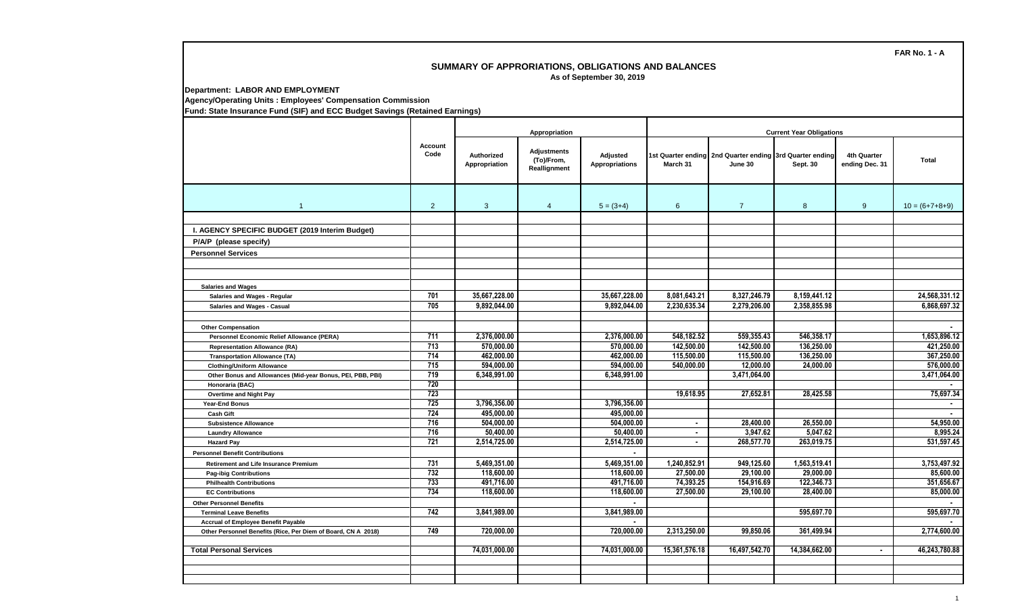## **SUMMARY OF APPRORIATIONS, OBLIGATIONS AND BALANCES As of September 30, 2019**

**Department: LABOR AND EMPLOYMENT**

**Agency/Operating Units : Employees' Compensation Commission**

**Fund: State Insurance Fund (SIF) and ECC Budget Savings (Retained Earnings)**

|                                                               |                  | Appropriation                      |                                                  |                                   | <b>Current Year Obligations</b> |                                                                     |               |                                      |                  |
|---------------------------------------------------------------|------------------|------------------------------------|--------------------------------------------------|-----------------------------------|---------------------------------|---------------------------------------------------------------------|---------------|--------------------------------------|------------------|
|                                                               | Account<br>Code  | <b>Authorized</b><br>Appropriation | <b>Adjustments</b><br>(To)/From,<br>Reallignment | Adjusted<br><b>Appropriations</b> | March 31                        | 1st Quarter ending 2nd Quarter ending 3rd Quarter ending<br>June 30 | Sept. 30      | <b>4th Quarter</b><br>ending Dec. 31 | Total            |
| $\overline{1}$                                                | 2                | $\mathbf{3}$                       | $\overline{4}$                                   | $5 = (3+4)$                       | 6                               | $\overline{7}$                                                      | 8             | 9                                    | $10 = (6+7+8+9)$ |
|                                                               |                  |                                    |                                                  |                                   |                                 |                                                                     |               |                                      |                  |
| I. AGENCY SPECIFIC BUDGET (2019 Interim Budget)               |                  |                                    |                                                  |                                   |                                 |                                                                     |               |                                      |                  |
| P/A/P (please specify)                                        |                  |                                    |                                                  |                                   |                                 |                                                                     |               |                                      |                  |
| <b>Personnel Services</b>                                     |                  |                                    |                                                  |                                   |                                 |                                                                     |               |                                      |                  |
|                                                               |                  |                                    |                                                  |                                   |                                 |                                                                     |               |                                      |                  |
|                                                               |                  |                                    |                                                  |                                   |                                 |                                                                     |               |                                      |                  |
| <b>Salaries and Wages</b>                                     |                  |                                    |                                                  |                                   |                                 |                                                                     |               |                                      |                  |
| Salaries and Wages - Regular                                  | 701              | 35.667.228.00                      |                                                  | 35.667.228.00                     | 8.081.643.21                    | 8.327.246.79                                                        | 8.159.441.12  |                                      | 24.568.331.12    |
| <b>Salaries and Wages - Casual</b>                            | 705              | 9,892,044.00                       |                                                  | 9,892,044.00                      | 2,230,635.34                    | 2,279,206.00                                                        | 2,358,855.98  |                                      | 6,868,697.32     |
|                                                               |                  |                                    |                                                  |                                   |                                 |                                                                     |               |                                      |                  |
| <b>Other Compensation</b>                                     |                  |                                    |                                                  |                                   |                                 |                                                                     |               |                                      |                  |
| Personnel Economic Relief Allowance (PERA)                    | 711              | 2,376,000.00                       |                                                  | 2,376,000.00                      | 548.182.52                      | 559,355.43                                                          | 546,358.17    |                                      | 1,653,896.12     |
| <b>Representation Allowance (RA)</b>                          | $\overline{713}$ | 570.000.00                         |                                                  | 570.000.00                        | 142,500.00                      | 142,500.00                                                          | 136.250.00    |                                      | 421.250.00       |
| <b>Transportation Allowance (TA)</b>                          | 714              | 462,000.00                         |                                                  | 462,000.00                        | 115,500.00                      | 115,500.00                                                          | 136,250.00    |                                      | 367,250.00       |
| <b>Clothing/Uniform Allowance</b>                             | $\overline{715}$ | 594,000.00                         |                                                  | 594,000.00                        | 540,000.00                      | 12,000.00                                                           | 24,000.00     |                                      | 576,000.00       |
| Other Bonus and Allowances (Mid-year Bonus, PEI, PBB, PBI)    | 719              | 6,348,991.00                       |                                                  | 6,348,991.00                      |                                 | 3,471,064.00                                                        |               |                                      | 3,471,064.00     |
| Honoraria (BAC)                                               | 720              |                                    |                                                  |                                   |                                 |                                                                     |               |                                      |                  |
| <b>Overtime and Night Pay</b>                                 | 723              |                                    |                                                  |                                   | 19.618.95                       | 27.652.81                                                           | 28.425.58     |                                      | 75.697.34        |
| Year-End Bonus                                                | 725              | 3,796,356.00                       |                                                  | 3,796,356.00                      |                                 |                                                                     |               |                                      | $\blacksquare$   |
| <b>Cash Gift</b>                                              | 724              | 495,000.00                         |                                                  | 495,000.00                        |                                 |                                                                     |               |                                      |                  |
| <b>Subsistence Allowance</b>                                  | 716              | 504,000.00                         |                                                  | 504,000.00                        | $\sim$                          | 28,400.00                                                           | 26,550.00     |                                      | 54,950.00        |
| <b>Laundry Allowance</b>                                      | 716              | 50,400.00                          |                                                  | 50,400.00                         | $\sim$                          | 3,947.62                                                            | 5,047.62      |                                      | 8,995.24         |
| <b>Hazard Pay</b>                                             | 721              | 2,514,725.00                       |                                                  | 2,514,725.00                      | $\sim$                          | 268,577.70                                                          | 263,019.75    |                                      | 531,597.45       |
| <b>Personnel Benefit Contributions</b>                        |                  |                                    |                                                  | $\sim$                            |                                 |                                                                     |               |                                      |                  |
| <b>Retirement and Life Insurance Premium</b>                  | 731              | 5,469,351.00                       |                                                  | 5,469,351.00                      | 1,240,852.91                    | 949,125.60                                                          | 1,563,519.41  |                                      | 3,753,497.92     |
| <b>Pag-ibig Contributions</b>                                 | 732              | 118,600.00                         |                                                  | 118,600.00                        | 27,500.00                       | 29,100.00                                                           | 29,000.00     |                                      | 85,600.00        |
| <b>Philhealth Contributions</b>                               | 733              | 491,716.00                         |                                                  | 491,716.00                        | 74,393.25                       | 154,916.69                                                          | 122,346.73    |                                      | 351,656.67       |
| <b>EC Contributions</b>                                       | 734              | 118,600.00                         |                                                  | 118,600.00                        | 27,500.00                       | 29,100.00                                                           | 28,400.00     |                                      | 85,000.00        |
| <b>Other Personnel Benefits</b>                               |                  |                                    |                                                  | $\sim$                            |                                 |                                                                     |               |                                      |                  |
| <b>Terminal Leave Benefits</b>                                | 742              | 3,841,989.00                       |                                                  | 3,841,989.00                      |                                 |                                                                     | 595.697.70    |                                      | 595,697.70       |
| <b>Accrual of Employee Benefit Payable</b>                    |                  |                                    |                                                  |                                   |                                 |                                                                     |               |                                      |                  |
| Other Personnel Benefits (Rice, Per Diem of Board, CN A 2018) | 749              | 720,000.00                         |                                                  | 720,000.00                        | 2,313,250.00                    | 99.850.06                                                           | 361,499.94    |                                      | 2,774,600.00     |
| <b>Total Personal Services</b>                                |                  | 74,031,000.00                      |                                                  | 74,031,000.00                     | 15,361,576.18                   | 16,497,542.70                                                       | 14,384,662.00 | $\blacksquare$                       | 46,243,780.88    |
|                                                               |                  |                                    |                                                  |                                   |                                 |                                                                     |               |                                      |                  |
|                                                               |                  |                                    |                                                  |                                   |                                 |                                                                     |               |                                      |                  |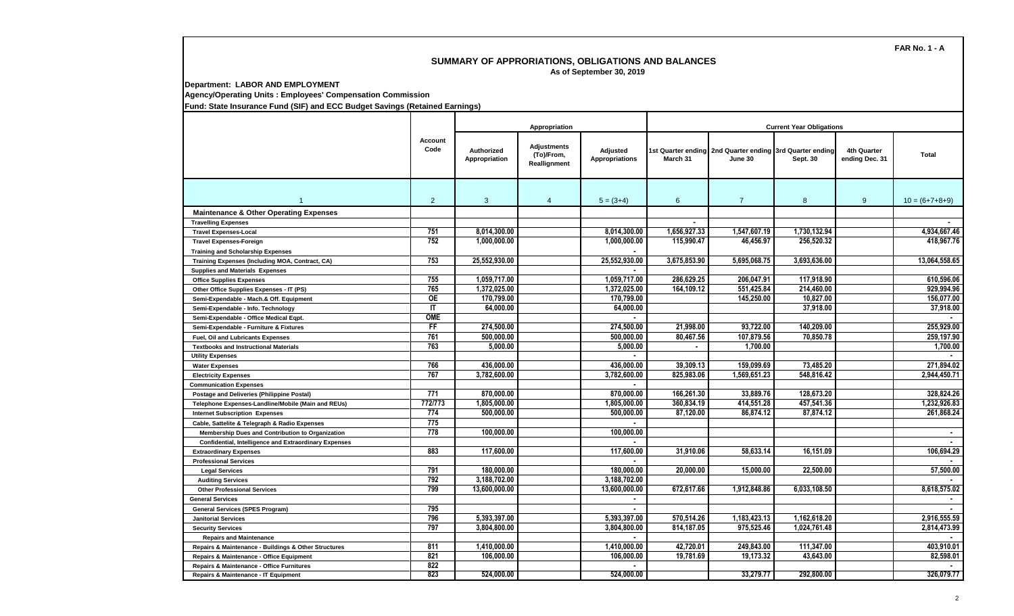## **SUMMARY OF APPRORIATIONS, OBLIGATIONS AND BALANCES As of September 30, 2019**

**Department: LABOR AND EMPLOYMENT**

**Agency/Operating Units : Employees' Compensation Commission**

**Fund: State Insurance Fund (SIF) and ECC Budget Savings (Retained Earnings)**

|                                                       |                 | Appropriation               |                                           |                                   | <b>Current Year Obligations</b> |                                                                     |              |                               |                  |  |
|-------------------------------------------------------|-----------------|-----------------------------|-------------------------------------------|-----------------------------------|---------------------------------|---------------------------------------------------------------------|--------------|-------------------------------|------------------|--|
|                                                       | Account<br>Code | Authorized<br>Appropriation | Adjustments<br>(To)/From,<br>Reallignment | Adjusted<br><b>Appropriations</b> | March 31                        | 1st Quarter ending 2nd Quarter ending 3rd Quarter ending<br>June 30 | Sept. 30     | 4th Quarter<br>ending Dec. 31 | <b>Total</b>     |  |
|                                                       | 2               | $\mathbf{3}$                | $\boldsymbol{\Delta}$                     | $5 = (3+4)$                       | 6                               | $\overline{7}$                                                      | 8            | 9                             | $10 = (6+7+8+9)$ |  |
| <b>Maintenance &amp; Other Operating Expenses</b>     |                 |                             |                                           |                                   |                                 |                                                                     |              |                               |                  |  |
| <b>Travelling Expenses</b>                            |                 |                             |                                           |                                   |                                 |                                                                     |              |                               |                  |  |
| <b>Travel Expenses-Local</b>                          | 751             | 8,014,300.00                |                                           | 8,014,300.00                      | 1,656,927.33                    | 1,547,607.19                                                        | 1.730.132.94 |                               | 4,934,667.46     |  |
| <b>Travel Expenses-Foreign</b>                        | 752             | 1,000,000.00                |                                           | 1,000,000.00                      | 115,990.47                      | 46,456.97                                                           | 256,520.32   |                               | 418.967.76       |  |
| <b>Training and Scholarship Expenses</b>              |                 |                             |                                           |                                   |                                 |                                                                     |              |                               |                  |  |
| Training Expenses (Including MOA, Contract, CA)       | 753             | 25,552,930.00               |                                           | 25,552,930.00                     | 3,675,853.90                    | 5,695,068.75                                                        | 3,693,636.00 |                               | 13,064,558.65    |  |
| <b>Supplies and Materials Expenses</b>                |                 |                             |                                           |                                   |                                 |                                                                     |              |                               |                  |  |
| <b>Office Supplies Expenses</b>                       | 755             | 1.059.717.00                |                                           | 1.059.717.00                      | 286.629.25                      | 206.047.91                                                          | 117.918.90   |                               | 610.596.06       |  |
| Other Office Supplies Expenses - IT (PS)              | 765             | 1,372,025.00                |                                           | 1,372,025.00                      | 164,109.12                      | 551,425.84                                                          | 214.460.00   |                               | 929,994.96       |  |
| Semi-Expendable - Mach.& Off. Equipment               | <b>OE</b>       | 170.799.00                  |                                           | 170,799.00                        |                                 | 145.250.00                                                          | 10.827.00    |                               | 156.077.00       |  |
| Semi-Expendable - Info. Technology                    | IT              | 64.000.00                   |                                           | 64,000.00                         |                                 |                                                                     | 37,918.00    |                               | 37,918.00        |  |
| Semi-Expendable - Office Medical Eqpt.                | <b>OME</b>      |                             |                                           |                                   |                                 |                                                                     |              |                               |                  |  |
| Semi-Expendable - Furniture & Fixtures                | FF              | 274,500.00                  |                                           | 274,500.00                        | 21.998.00                       | 93.722.00                                                           | 140.209.00   |                               | 255.929.00       |  |
| Fuel, Oil and Lubricants Expenses                     | 761             | 500.000.00                  |                                           | 500.000.00                        | 80.467.56                       | 107.879.56                                                          | 70.850.78    |                               | 259.197.90       |  |
| <b>Textbooks and Instructional Materials</b>          | 763             | 5,000.00                    |                                           | 5,000.00                          |                                 | 1.700.00                                                            |              |                               | 1,700.00         |  |
| <b>Utility Expenses</b>                               |                 |                             |                                           |                                   |                                 |                                                                     |              |                               |                  |  |
| <b>Water Expenses</b>                                 | 766             | 436.000.00                  |                                           | 436.000.00                        | 39.309.13                       | 159.099.69                                                          | 73.485.20    |                               | 271.894.02       |  |
| <b>Electricity Expenses</b>                           | 767             | 3,782,600.00                |                                           | 3,782,600.00                      | 825,983.06                      | 1,569,651.23                                                        | 548,816.42   |                               | 2,944,450.71     |  |
| <b>Communication Expenses</b>                         |                 |                             |                                           |                                   |                                 |                                                                     |              |                               |                  |  |
| Postage and Deliveries (Philippine Postal)            | 771             | 870.000.00                  |                                           | 870.000.00                        | 166.261.30                      | 33.889.76                                                           | 128.673.20   |                               | 328.824.26       |  |
| Telephone Expenses-Landline/Mobile (Main and REUs)    | 772/773         | 1,805,000.00                |                                           | 1,805,000.00                      | 360,834.19                      | 414,551.28                                                          | 457,541.36   |                               | 1,232,926.83     |  |
| <b>Internet Subscription Expenses</b>                 | 774             | 500,000.00                  |                                           | 500,000.00                        | 87,120.00                       | 86,874.12                                                           | 87,874.12    |                               | 261,868.24       |  |
| Cable, Sattelite & Telegraph & Radio Expenses         | 775             |                             |                                           | $\blacksquare$                    |                                 |                                                                     |              |                               |                  |  |
| Membership Dues and Contribution to Organization      | 778             | 100,000.00                  |                                           | 100,000.00                        |                                 |                                                                     |              |                               | $\sim$           |  |
| Confidential, Intelligence and Extraordinary Expenses |                 |                             |                                           |                                   |                                 |                                                                     |              |                               | $\sim$           |  |
| <b>Extraordinary Expenses</b>                         | 883             | 117.600.00                  |                                           | 117.600.00                        | 31.910.06                       | 58.633.14                                                           | 16.151.09    |                               | 106.694.29       |  |
| <b>Professional Services</b>                          |                 |                             |                                           | $\mathbf{r}$                      |                                 |                                                                     |              |                               |                  |  |
| <b>Legal Services</b>                                 | 791             | 180.000.00                  |                                           | 180.000.00                        | 20.000.00                       | 15.000.00                                                           | 22.500.00    |                               | 57.500.00        |  |
| <b>Auditing Services</b>                              | 792             | 3,188,702.00                |                                           | 3,188,702.00                      |                                 |                                                                     |              |                               |                  |  |
| <b>Other Professional Services</b>                    | 799             | 13,600,000.00               |                                           | 13,600,000.00                     | 672,617.66                      | 1,912,848.86                                                        | 6,033,108.50 |                               | 8,618,575.02     |  |
| <b>General Services</b>                               |                 |                             |                                           | $\sim$                            |                                 |                                                                     |              |                               |                  |  |
| <b>General Services (SPES Program)</b>                | 795             |                             |                                           |                                   |                                 |                                                                     |              |                               |                  |  |
| <b>Janitorial Services</b>                            | 796             | 5.393.397.00                |                                           | 5.393.397.00                      | 570.514.26                      | 1.183.423.13                                                        | 1.162.618.20 |                               | 2.916.555.59     |  |
| <b>Security Services</b>                              | 797             | 3,804,800.00                |                                           | 3,804,800.00                      | 814,187.05                      | 975,525.46                                                          | 1,024,761.48 |                               | 2,814,473.99     |  |
| <b>Repairs and Maintenance</b>                        |                 |                             |                                           |                                   |                                 |                                                                     |              |                               |                  |  |
| Repairs & Maintenance - Buildings & Other Structures  | 811             | 1,410,000.00                |                                           | 1,410,000.00                      | 42,720.01                       | 249,843.00                                                          | 111,347.00   |                               | 403,910.01       |  |
| Repairs & Maintenance - Office Equipment              | 821             | 106,000.00                  |                                           | 106.000.00                        | 19,781.69                       | 19,173.32                                                           | 43,643.00    |                               | 82,598.01        |  |
| Repairs & Maintenance - Office Furnitures             | 822             |                             |                                           |                                   |                                 |                                                                     |              |                               |                  |  |
| Repairs & Maintenance - IT Equipment                  | 823             | 524.000.00                  |                                           | 524.000.00                        |                                 | 33.279.77                                                           | 292.800.00   |                               | 326.079.77       |  |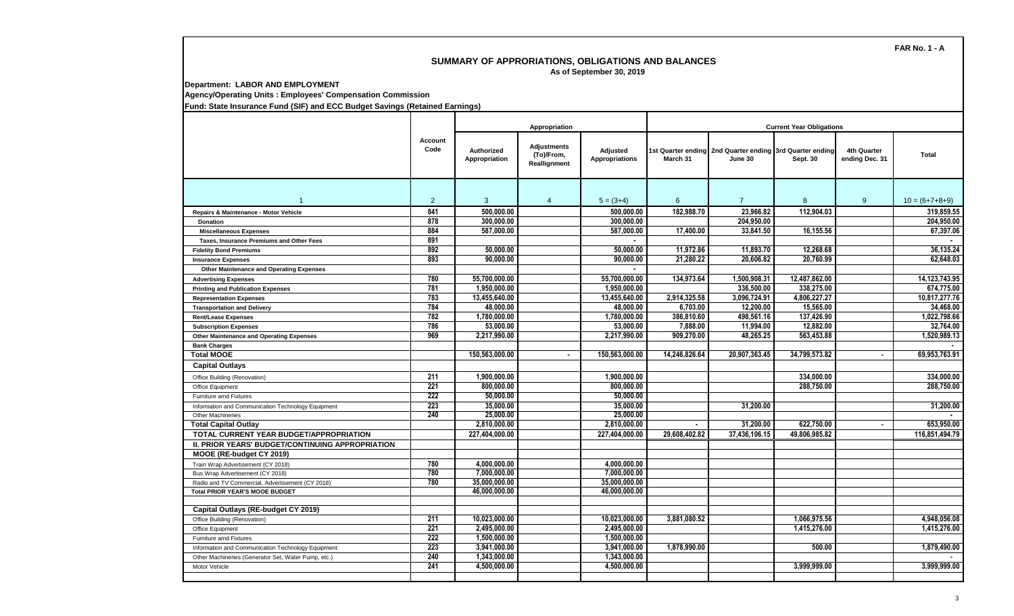## **SUMMARY OF APPRORIATIONS, OBLIGATIONS AND BALANCES As of September 30, 2019**

**Department: LABOR AND EMPLOYMENT**

**Agency/Operating Units : Employees' Compensation Commission**

**Fund: State Insurance Fund (SIF) and ECC Budget Savings (Retained Earnings)**

|                                                     | Account<br>Code |                                    | Appropriation                             |                                   | <b>Current Year Obligations</b> |                                                                     |               |                               |                  |  |
|-----------------------------------------------------|-----------------|------------------------------------|-------------------------------------------|-----------------------------------|---------------------------------|---------------------------------------------------------------------|---------------|-------------------------------|------------------|--|
|                                                     |                 | <b>Authorized</b><br>Appropriation | Adjustments<br>(To)/From,<br>Reallignment | Adjusted<br><b>Appropriations</b> | March 31                        | 1st Quarter ending 2nd Quarter ending 3rd Quarter ending<br>June 30 | Sept. 30      | 4th Quarter<br>ending Dec. 31 | <b>Total</b>     |  |
| $\overline{1}$                                      | 2               | 3                                  | $\overline{4}$                            | $5 = (3+4)$                       | 6                               | $\overline{7}$                                                      | 8             | 9                             | $10 = (6+7+8+9)$ |  |
| Repairs & Maintenance - Motor Vehicle               | 841             | 500.000.00                         |                                           | 500.000.00                        | 182.988.70                      | 23.966.82                                                           | 112.904.03    |                               | 319.859.55       |  |
| <b>Donation</b>                                     | 878             | 300.000.00                         |                                           | 300.000.00                        |                                 | 204.950.00                                                          |               |                               | 204,950.00       |  |
| <b>Miscellaneous Expenses</b>                       | 884             | 587.000.00                         |                                           | 587.000.00                        | 17,400.00                       | 33.841.50                                                           | 16,155.56     |                               | 67.397.06        |  |
| <b>Taxes. Insurance Premiums and Other Fees</b>     | 891             |                                    |                                           |                                   |                                 |                                                                     |               |                               |                  |  |
| <b>Fidelity Bond Premiums</b>                       | 892             | 50.000.00                          |                                           | 50.000.00                         | 11.972.86                       | 11,893.70                                                           | 12.268.68     |                               | 36,135.24        |  |
| <b>Insurance Expenses</b>                           | 893             | 90.000.00                          |                                           | 90.000.00                         | 21,280.22                       | 20,606.82                                                           | 20,760.99     |                               | 62.648.03        |  |
| <b>Other Maintenance and Operating Expenses</b>     |                 |                                    |                                           |                                   |                                 |                                                                     |               |                               |                  |  |
| <b>Advertising Expenses</b>                         | 780             | 55,700,000.00                      |                                           | 55.700.000.00                     | 134,973.64                      | 1.500.908.31                                                        | 12,487,862.00 |                               | 14,123,743.95    |  |
| <b>Printing and Publication Expenses</b>            | 781             | 1,950,000.00                       |                                           | 1,950,000.00                      |                                 | 336,500.00                                                          | 338,275.00    |                               | 674,775.00       |  |
| <b>Representation Expenses</b>                      | 783             | 13,455,640.00                      |                                           | 13,455,640.00                     | 2,914,325.58                    | 3,096,724.91                                                        | 4,806,227.27  |                               | 10,817,277.76    |  |
| <b>Transportation and Delivery</b>                  | 784             | 48,000.00                          |                                           | 48,000.00                         | 6,703.00                        | 12,200.00                                                           | 15,565.00     |                               | 34,468.00        |  |
| <b>Rent/Lease Expenses</b>                          | 782             | 1,780,000.00                       |                                           | 1,780,000.00                      | 386,810.60                      | 498,561.16                                                          | 137,426.90    |                               | 1,022,798.66     |  |
| <b>Subscription Expenses</b>                        | 786             | 53,000.00                          |                                           | 53.000.00                         | 7,888,00                        | 11.994.00                                                           | 12,882.00     |                               | 32.764.00        |  |
| <b>Other Maintenance and Operating Expenses</b>     | 969             | 2.217.990.00                       |                                           | 2.217.990.00                      | 909.270.00                      | 48.265.25                                                           | 563.453.88    |                               | 1.520.989.13     |  |
| <b>Bank Charges</b>                                 |                 |                                    |                                           |                                   |                                 |                                                                     |               |                               |                  |  |
| <b>Total MOOE</b>                                   |                 | 150,563,000.00                     | $\sim$                                    | 150,563,000.00                    | 14,246,826.64                   | 20,907,363.45                                                       | 34,799,573.82 | $\blacksquare$                | 69,953,763.91    |  |
| <b>Capital Outlays</b>                              |                 |                                    |                                           |                                   |                                 |                                                                     |               |                               |                  |  |
| Office Building (Renovation)                        | 211             | 1.900.000.00                       |                                           | 1.900.000.00                      |                                 |                                                                     | 334,000.00    |                               | 334.000.00       |  |
| Office Equipment                                    | 221             | 800.000.00                         |                                           | 800.000.00                        |                                 |                                                                     | 288.750.00    |                               | 288.750.00       |  |
| Furniture amd Fixtures                              | 222             | 50,000.00                          |                                           | 50,000.00                         |                                 |                                                                     |               |                               |                  |  |
| Information and Communication Technology Equipment  | 223             | 35,000.00                          |                                           | 35,000,00                         |                                 | 31.200.00                                                           |               |                               | 31.200.00        |  |
| <b>Other Machineries</b>                            | 240             | 25,000.00                          |                                           | 25,000.00                         |                                 |                                                                     |               |                               |                  |  |
| <b>Total Capital Outlay</b>                         |                 | 2,810,000.00                       |                                           | 2,810,000.00                      | $\sim$                          | 31,200.00                                                           | 622.750.00    | $\blacksquare$                | 653,950.00       |  |
| TOTAL CURRENT YEAR BUDGET/APPROPRIATION             |                 | 227,404,000.00                     |                                           | 227,404,000.00                    | 29,608,402.82                   | 37,436,106.15                                                       | 49,806,985.82 |                               | 116,851,494.79   |  |
| II. PRIOR YEARS' BUDGET/CONTINUING APPROPRIATION    |                 |                                    |                                           |                                   |                                 |                                                                     |               |                               |                  |  |
| MOOE (RE-budget CY 2019)                            |                 |                                    |                                           |                                   |                                 |                                                                     |               |                               |                  |  |
| Train Wrap Advertisement (CY 2018)                  | 780             | 4.000.000.00                       |                                           | 4.000.000.00                      |                                 |                                                                     |               |                               |                  |  |
| Bus Wrap Advertisement (CY 2018)                    | 780             | 7.000.000.00                       |                                           | 7.000.000.00                      |                                 |                                                                     |               |                               |                  |  |
| Radio and TV Commercial, Advertisement (CY 2018)    | 780             | 35,000,000.00                      |                                           | 35,000,000.00                     |                                 |                                                                     |               |                               |                  |  |
| <b>Total PRIOR YEAR'S MOOE BUDGET</b>               |                 | 46.000.000.00                      |                                           | 46.000.000.00                     |                                 |                                                                     |               |                               |                  |  |
| Capital Outlays (RE-budget CY 2019)                 |                 |                                    |                                           |                                   |                                 |                                                                     |               |                               |                  |  |
| Office Building (Renovation)                        | 211             | 10.023.000.00                      |                                           | 10.023.000.00                     | 3.881.080.52                    |                                                                     | 1.066.975.56  |                               | 4.948.056.08     |  |
| Office Equipment                                    | 221             | 2.495.000.00                       |                                           | 2,495,000.00                      |                                 |                                                                     | 1,415,276.00  |                               | 1.415.276.00     |  |
| Furniture amd Fixtures                              | 222             | 1,500,000.00                       |                                           | 1,500,000.00                      |                                 |                                                                     |               |                               |                  |  |
| Information and Communication Technology Equipment  | 223             | 3,941,000.00                       |                                           | 3,941,000.00                      | 1,878,990.00                    |                                                                     | 500.00        |                               | 1,879,490.00     |  |
| Other Machineries (Generator Set, Water Pump, etc.) | 240             | 1,343,000.00                       |                                           | 1,343,000.00                      |                                 |                                                                     |               |                               |                  |  |
| Motor Vehicle                                       | 241             | 4.500.000.00                       |                                           | 4.500.000.00                      |                                 |                                                                     | 3.999.999.00  |                               | 3,999,999.00     |  |
|                                                     |                 |                                    |                                           |                                   |                                 |                                                                     |               |                               |                  |  |